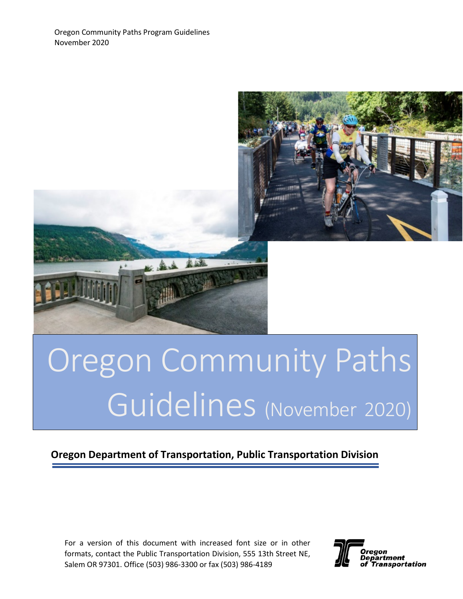

# Oregon Community Paths Guidelines (November 2020)

## **Oregon Department of Transportation, Public Transportation Division**

For a version of this document with increased font size or in other formats, contact the Public Transportation Division, 555 13th Street NE, Salem OR 97301. Office (503) 986-3300 or fax (503) 986-4189

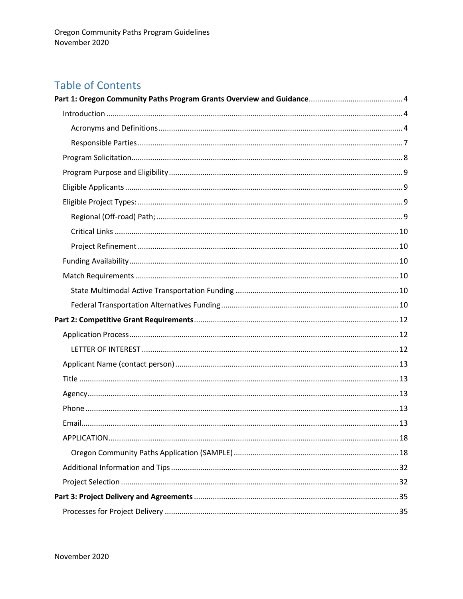# **Table of Contents**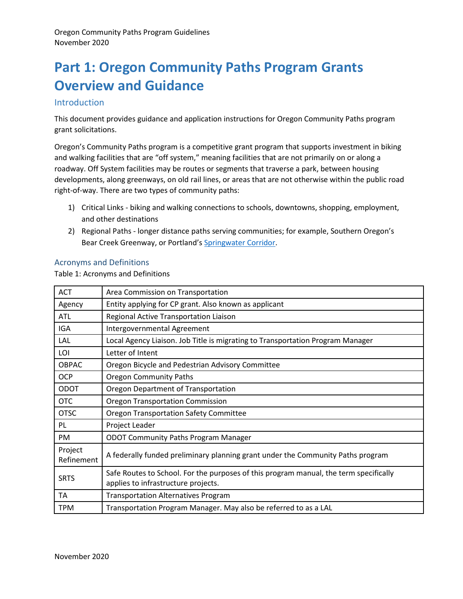# <span id="page-3-0"></span>**Part 1: Oregon Community Paths Program Grants Overview and Guidance**

#### <span id="page-3-1"></span>Introduction

This document provides guidance and application instructions for Oregon Community Paths program grant solicitations.

Oregon's Community Paths program is a competitive grant program that supports investment in biking and walking facilities that are "off system," meaning facilities that are not primarily on or along a roadway. Off System facilities may be routes or segments that traverse a park, between housing developments, along greenways, on old rail lines, or areas that are not otherwise within the public road right-of-way. There are two types of community paths:

- 1) Critical Links biking and walking connections to schools, downtowns, shopping, employment, and other destinations
- 2) Regional Paths longer distance paths serving communities; for example, Southern Oregon's Bear Creek Greenway, or Portland's [Springwater Corridor.](https://www.portland.gov/parks/springwater-corridor)

#### <span id="page-3-2"></span>Acronyms and Definitions

Table 1: Acronyms and Definitions

| <b>ACT</b>            | Area Commission on Transportation                                                                                            |
|-----------------------|------------------------------------------------------------------------------------------------------------------------------|
| Agency                | Entity applying for CP grant. Also known as applicant                                                                        |
| ATL                   | Regional Active Transportation Liaison                                                                                       |
| IGA                   | Intergovernmental Agreement                                                                                                  |
| LAL                   | Local Agency Liaison. Job Title is migrating to Transportation Program Manager                                               |
| LOI                   | Letter of Intent                                                                                                             |
| <b>OBPAC</b>          | Oregon Bicycle and Pedestrian Advisory Committee                                                                             |
| <b>OCP</b>            | <b>Oregon Community Paths</b>                                                                                                |
| <b>ODOT</b>           | Oregon Department of Transportation                                                                                          |
| <b>OTC</b>            | <b>Oregon Transportation Commission</b>                                                                                      |
| <b>OTSC</b>           | <b>Oregon Transportation Safety Committee</b>                                                                                |
| <b>PL</b>             | Project Leader                                                                                                               |
| <b>PM</b>             | <b>ODOT Community Paths Program Manager</b>                                                                                  |
| Project<br>Refinement | A federally funded preliminary planning grant under the Community Paths program                                              |
| <b>SRTS</b>           | Safe Routes to School. For the purposes of this program manual, the term specifically<br>applies to infrastructure projects. |
| TA                    | <b>Transportation Alternatives Program</b>                                                                                   |
| <b>TPM</b>            | Transportation Program Manager. May also be referred to as a LAL                                                             |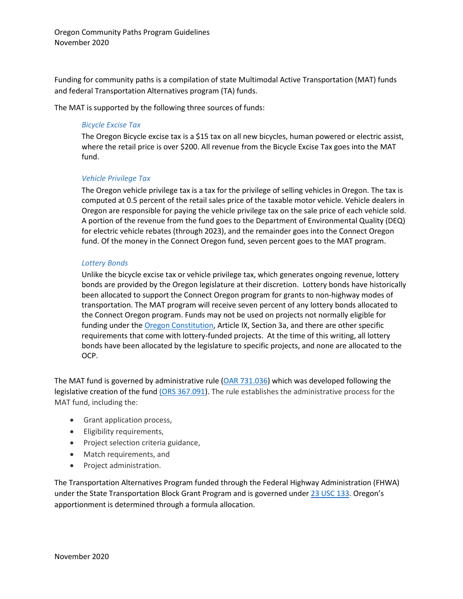Funding for community paths is a compilation of state Multimodal Active Transportation (MAT) funds and federal Transportation Alternatives program (TA) funds.

The MAT is supported by the following three sources of funds:

#### *Bicycle Excise Tax*

The Oregon Bicycle excise tax is a \$15 tax on all new bicycles, human powered or electric assist, where the retail price is over \$200. All revenue from the Bicycle Excise Tax goes into the MAT fund.

#### *Vehicle Privilege Tax*

The Oregon vehicle privilege tax is a tax for the privilege of selling vehicles in Oregon. The tax is computed at 0.5 percent of the retail sales price of the taxable motor vehicle. Vehicle dealers in Oregon are responsible for paying the vehicle privilege tax on the sale price of each vehicle sold. A portion of the revenue from the fund goes to the Department of Environmental Quality (DEQ) for electric vehicle rebates (through 2023), and the remainder goes into the Connect Oregon fund. Of the money in the Connect Oregon fund, seven percent goes to the MAT program.

#### *Lottery Bonds*

Unlike the bicycle excise tax or vehicle privilege tax, which generates ongoing revenue, lottery bonds are provided by the Oregon legislature at their discretion. Lottery bonds have historically been allocated to support the Connect Oregon program for grants to non-highway modes of transportation. The MAT program will receive seven percent of any lottery bonds allocated to the Connect Oregon program. Funds may not be used on projects not normally eligible for funding under the [Oregon Constitution,](https://www.oregonlegislature.gov/bills_laws/Pages/OrConst.aspx) Article IX, Section 3a, and there are other specific requirements that come with lottery-funded projects. At the time of this writing, all lottery bonds have been allocated by the legislature to specific projects, and none are allocated to the OCP.

The MAT fund is governed by administrative rule [\(OAR 731.036\)](https://secure.sos.state.or.us/oard/displayDivisionRules.action?selectedDivision=5681) which was developed following the legislative creation of the fun[d \(ORS 367.091\)](https://www.oregonlaws.org/ors/367.091). The rule establishes the administrative process for the MAT fund, including the:

- Grant application process,
- Eligibility requirements,
- Project selection criteria guidance,
- Match requirements, and
- Project administration.

The Transportation Alternatives Program funded through the Federal Highway Administration (FHWA) under the State Transportation Block Grant Program and is governed under [23 USC 133.](https://www.law.cornell.edu/uscode/text/23/133) Oregon's apportionment is determined through a formula allocation.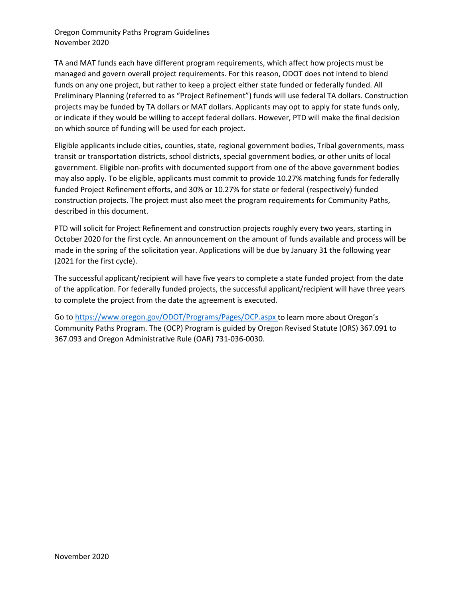TA and MAT funds each have different program requirements, which affect how projects must be managed and govern overall project requirements. For this reason, ODOT does not intend to blend funds on any one project, but rather to keep a project either state funded or federally funded. All Preliminary Planning (referred to as "Project Refinement") funds will use federal TA dollars. Construction projects may be funded by TA dollars or MAT dollars. Applicants may opt to apply for state funds only, or indicate if they would be willing to accept federal dollars. However, PTD will make the final decision on which source of funding will be used for each project.

Eligible applicants include cities, counties, state, regional government bodies, Tribal governments, mass transit or transportation districts, school districts, special government bodies, or other units of local government. Eligible non-profits with documented support from one of the above government bodies may also apply. To be eligible, applicants must commit to provide 10.27% matching funds for federally funded Project Refinement efforts, and 30% or 10.27% for state or federal (respectively) funded construction projects. The project must also meet the program requirements for Community Paths, described in this document.

PTD will solicit for Project Refinement and construction projects roughly every two years, starting in October 2020 for the first cycle. An announcement on the amount of funds available and process will be made in the spring of the solicitation year. Applications will be due by January 31 the following year (2021 for the first cycle).

The successful applicant/recipient will have five years to complete a state funded project from the date of the application. For federally funded projects, the successful applicant/recipient will have three years to complete the project from the date the agreement is executed.

Go to<https://www.oregon.gov/ODOT/Programs/Pages/OCP.aspx> to learn more about Oregon's Community Paths Program. The (OCP) Program is guided by Oregon Revised Statute (ORS) 367.091 to 367.093 and Oregon Administrative Rule (OAR) 731-036-0030.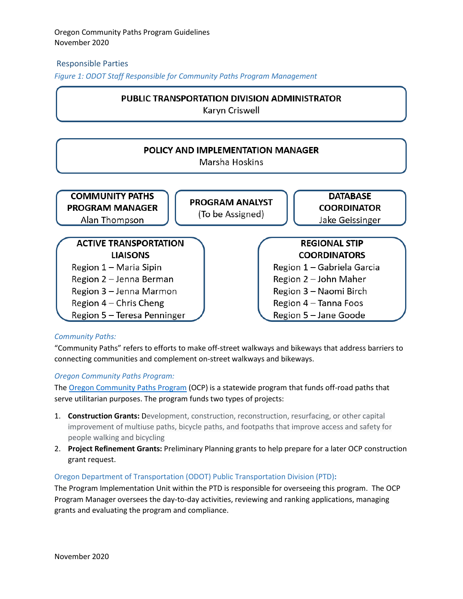#### <span id="page-6-0"></span>Responsible Parties

*Figure 1: ODOT Staff Responsible for Community Paths Program Management*

## **PUBLIC TRANSPORTATION DIVISION ADMINISTRATOR**

Karyn Criswell



#### *Community Paths:*

"Community Paths" refers to efforts to make off-street walkways and bikeways that address barriers to connecting communities and complement on-street walkways and bikeways.

#### *Oregon Community Paths Program:*

The [Oregon Community Paths Program](https://www.oregon.gov/odot/Programs/Pages/OCP.aspx) (OCP) is a statewide program that funds off-road paths that serve utilitarian purposes. The program funds two types of projects:

- 1. **Construction Grants:** Development, construction, reconstruction, resurfacing, or other capital improvement of multiuse paths, bicycle paths, and footpaths that improve access and safety for people walking and bicycling
- 2. **Project Refinement Grants:** Preliminary Planning grants to help prepare for a later OCP construction grant request.

#### Oregon Department of Transportation (ODOT) Public Transportation Division (PTD)**:**

The Program Implementation Unit within the PTD is responsible for overseeing this program. The OCP Program Manager oversees the day-to-day activities, reviewing and ranking applications, managing grants and evaluating the program and compliance.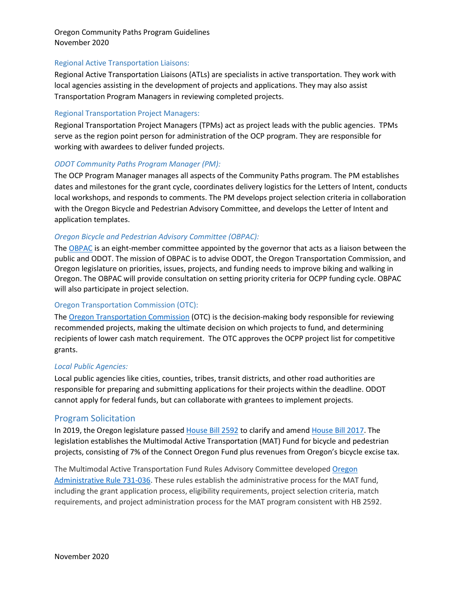#### Regional Active Transportation Liaisons:

Regional Active Transportation Liaisons (ATLs) are specialists in active transportation. They work with local agencies assisting in the development of projects and applications. They may also assist Transportation Program Managers in reviewing completed projects.

#### Regional Transportation Project Managers:

Regional Transportation Project Managers (TPMs) act as project leads with the public agencies. TPMs serve as the region point person for administration of the OCP program. They are responsible for working with awardees to deliver funded projects.

#### *ODOT Community Paths Program Manager (PM):*

The OCP Program Manager manages all aspects of the Community Paths program. The PM establishes dates and milestones for the grant cycle, coordinates delivery logistics for the Letters of Intent, conducts local workshops, and responds to comments. The PM develops project selection criteria in collaboration with the Oregon Bicycle and Pedestrian Advisory Committee, and develops the Letter of Intent and application templates.

#### *Oregon Bicycle and Pedestrian Advisory Committee (OBPAC):*

The [OBPAC](https://www.oregon.gov/odot/Get-Involved/Pages/OBPAC.aspx) is an eight-member committee appointed by the governor that acts as a liaison between the public and ODOT. The mission of OBPAC is to advise ODOT, the Oregon Transportation Commission, and Oregon legislature on priorities, issues, projects, and funding needs to improve biking and walking in Oregon. The OBPAC will provide consultation on setting priority criteria for OCPP funding cycle. OBPAC will also participate in project selection.

#### Oregon Transportation Commission (OTC):

The [Oregon Transportation Commission](https://www.oregon.gov/odot/get-involved/pages/otc_main.aspx) (OTC) is the decision-making body responsible for reviewing recommended projects, making the ultimate decision on which projects to fund, and determining recipients of lower cash match requirement. The OTC approves the OCPP project list for competitive grants.

#### *Local Public Agencies:*

Local public agencies like cities, counties, tribes, transit districts, and other road authorities are responsible for preparing and submitting applications for their projects within the deadline. ODOT cannot apply for federal funds, but can collaborate with grantees to implement projects.

#### <span id="page-7-0"></span>Program Solicitation

In 2019, the Oregon legislature passed [House Bill 2592](https://olis.oregonlegislature.gov/liz/2019R1/Downloads/MeasureDocument/HB2592/Enrolled) to clarify and amend [House Bill 2017.](https://olis.leg.state.or.us/liz/2017R1/Downloads/MeasureDocument/HB2017/Enrolled) The legislation establishes the Multimodal Active Transportation (MAT) Fund for bicycle and pedestrian projects, consisting of 7% of the Connect Oregon Fund plus revenues from Oregon's bicycle excise tax.

The Multimodal Active Transportation Fund Rules Advisory Committee developed [Oregon](https://secure.sos.state.or.us/oard/displayDivisionRules.action?selectedDivision=5681)  [Administrative Rule 731-036.](https://secure.sos.state.or.us/oard/displayDivisionRules.action?selectedDivision=5681) These rules establish the administrative process for the MAT fund, including the grant application process, eligibility requirements, project selection criteria, match requirements, and project administration process for the MAT program consistent with HB 2592.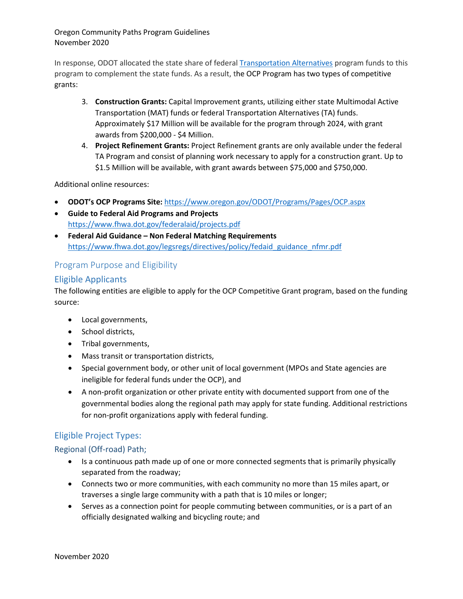In response, ODOT allocated the state share of federal [Transportation Alternatives](https://www.fhwa.dot.gov/environment/transportation_alternatives/) program funds to this program to complement the state funds. As a result, the OCP Program has two types of competitive grants:

- 3. **Construction Grants:** Capital Improvement grants, utilizing either state Multimodal Active Transportation (MAT) funds or federal Transportation Alternatives (TA) funds. Approximately \$17 Million will be available for the program through 2024, with grant awards from \$200,000 - \$4 Million.
- 4. **Project Refinement Grants:** Project Refinement grants are only available under the federal TA Program and consist of planning work necessary to apply for a construction grant. Up to \$1.5 Million will be available, with grant awards between \$75,000 and \$750,000.

Additional online resources:

- **ODOT's OCP Programs Site:** <https://www.oregon.gov/ODOT/Programs/Pages/OCP.aspx>
- **Guide to Federal Aid Programs and Projects** <https://www.fhwa.dot.gov/federalaid/projects.pdf>
- **Federal Aid Guidance – Non Federal Matching Requirements** [https://www.fhwa.dot.gov/legsregs/directives/policy/fedaid\\_guidance\\_nfmr.pdf](https://www.fhwa.dot.gov/legsregs/directives/policy/fedaid_guidance_nfmr.pdf)

## <span id="page-8-0"></span>Program Purpose and Eligibility

## <span id="page-8-1"></span>Eligible Applicants

The following entities are eligible to apply for the OCP Competitive Grant program, based on the funding source:

- Local governments,
- School districts,
- Tribal governments,
- Mass transit or transportation districts,
- Special government body, or other unit of local government (MPOs and State agencies are ineligible for federal funds under the OCP), and
- A non-profit organization or other private entity with documented support from one of the governmental bodies along the regional path may apply for state funding. Additional restrictions for non-profit organizations apply with federal funding.

## <span id="page-8-2"></span>Eligible Project Types:

## <span id="page-8-3"></span>Regional (Off-road) Path;

- Is a continuous path made up of one or more connected segments that is primarily physically separated from the roadway;
- Connects two or more communities, with each community no more than 15 miles apart, or traverses a single large community with a path that is 10 miles or longer;
- Serves as a connection point for people commuting between communities, or is a part of an officially designated walking and bicycling route; and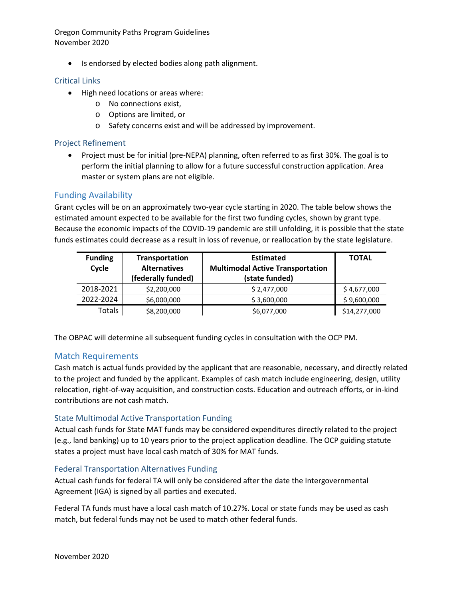• Is endorsed by elected bodies along path alignment.

#### <span id="page-9-0"></span>Critical Links

- High need locations or areas where:
	- o No connections exist,
	- o Options are limited, or
	- o Safety concerns exist and will be addressed by improvement.

#### <span id="page-9-1"></span>Project Refinement

• Project must be for initial (pre-NEPA) planning, often referred to as first 30%. The goal is to perform the initial planning to allow for a future successful construction application. Area master or system plans are not eligible.

#### <span id="page-9-2"></span>Funding Availability

Grant cycles will be on an approximately two-year cycle starting in 2020. The table below shows the estimated amount expected to be available for the first two funding cycles, shown by grant type. Because the economic impacts of the COVID-19 pandemic are still unfolding, it is possible that the state funds estimates could decrease as a result in loss of revenue, or reallocation by the state legislature.

| <b>Funding</b> | Transportation      | <b>Estimated</b>                        | <b>TOTAL</b> |
|----------------|---------------------|-----------------------------------------|--------------|
| Cycle          | <b>Alternatives</b> | <b>Multimodal Active Transportation</b> |              |
|                | (federally funded)  | (state funded)                          |              |
| 2018-2021      | \$2,200,000         | \$2,477,000                             | \$4,677,000  |
| 2022-2024      | \$6,000,000         | \$3,600,000                             | \$9,600,000  |
| Totals         | \$8,200,000         | \$6,077,000                             | \$14,277,000 |

The OBPAC will determine all subsequent funding cycles in consultation with the OCP PM.

## <span id="page-9-3"></span>Match Requirements

Cash match is actual funds provided by the applicant that are reasonable, necessary, and directly related to the project and funded by the applicant. Examples of cash match include engineering, design, utility relocation, right-of-way acquisition, and construction costs. Education and outreach efforts, or in-kind contributions are not cash match.

#### <span id="page-9-4"></span>State Multimodal Active Transportation Funding

Actual cash funds for State MAT funds may be considered expenditures directly related to the project (e.g., land banking) up to 10 years prior to the project application deadline. The OCP guiding statute states a project must have local cash match of 30% for MAT funds.

#### <span id="page-9-5"></span>Federal Transportation Alternatives Funding

Actual cash funds for federal TA will only be considered after the date the Intergovernmental Agreement (IGA) is signed by all parties and executed.

Federal TA funds must have a local cash match of 10.27%. Local or state funds may be used as cash match, but federal funds may not be used to match other federal funds.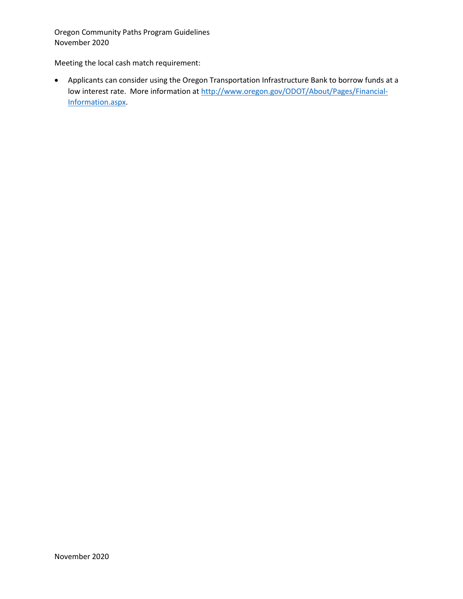Meeting the local cash match requirement:

• Applicants can consider using the Oregon Transportation Infrastructure Bank to borrow funds at a low interest rate. More information at [http://www.oregon.gov/ODOT/About/Pages/Financial-](http://www.oregon.gov/ODOT/About/Pages/Financial-Information.aspx)[Information.aspx.](http://www.oregon.gov/ODOT/About/Pages/Financial-Information.aspx)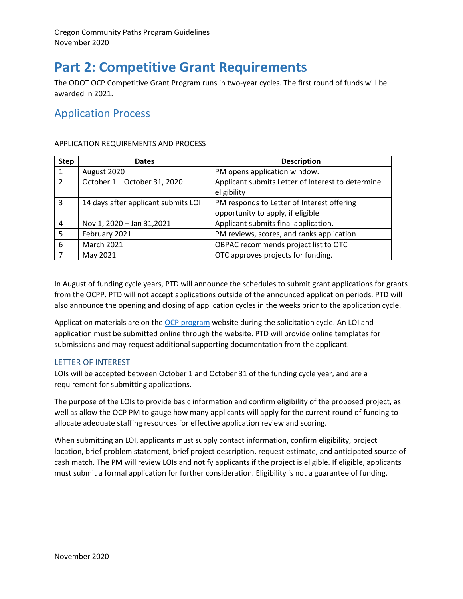# <span id="page-11-0"></span>**Part 2: Competitive Grant Requirements**

The ODOT OCP Competitive Grant Program runs in two-year cycles. The first round of funds will be awarded in 2021.

## <span id="page-11-1"></span>Application Process

#### APPLICATION REQUIREMENTS AND PROCESS

| <b>Step</b>    | <b>Dates</b>                        | <b>Description</b>                                               |
|----------------|-------------------------------------|------------------------------------------------------------------|
| $\mathbf{1}$   | August 2020                         | PM opens application window.                                     |
| $\overline{2}$ | October 1 - October 31, 2020        | Applicant submits Letter of Interest to determine<br>eligibility |
| 3              | 14 days after applicant submits LOI | PM responds to Letter of Interest offering                       |
|                |                                     | opportunity to apply, if eligible                                |
| 4              | Nov 1, 2020 - Jan 31,2021           | Applicant submits final application.                             |
| 5              | February 2021                       | PM reviews, scores, and ranks application                        |
| 6              | <b>March 2021</b>                   | OBPAC recommends project list to OTC                             |
|                | May 2021                            | OTC approves projects for funding.                               |

In August of funding cycle years, PTD will announce the schedules to submit grant applications for grants from the OCPP. PTD will not accept applications outside of the announced application periods. PTD will also announce the opening and closing of application cycles in the weeks prior to the application cycle.

Application materials are on the OCP [program](https://www.oregon.gov/odot/Programs/Pages/OCP.aspx) website during the solicitation cycle. An LOI and application must be submitted online through the website. PTD will provide online templates for submissions and may request additional supporting documentation from the applicant.

#### <span id="page-11-2"></span>LETTER OF INTEREST

LOIs will be accepted between October 1 and October 31 of the funding cycle year, and are a requirement for submitting applications.

The purpose of the LOIs to provide basic information and confirm eligibility of the proposed project, as well as allow the OCP PM to gauge how many applicants will apply for the current round of funding to allocate adequate staffing resources for effective application review and scoring.

When submitting an LOI, applicants must supply contact information, confirm eligibility, project location, brief problem statement, brief project description, request estimate, and anticipated source of cash match. The PM will review LOIs and notify applicants if the project is eligible. If eligible, applicants must submit a formal application for further consideration. Eligibility is not a guarantee of funding.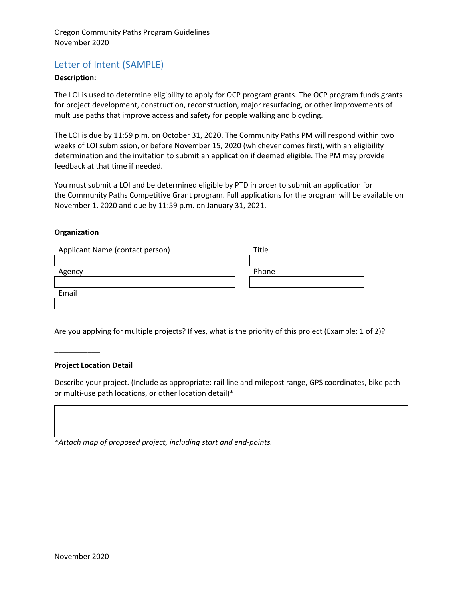## Letter of Intent (SAMPLE)

#### **Description:**

The LOI is used to determine eligibility to apply for OCP program grants. The OCP program funds grants for project development, construction, reconstruction, major resurfacing, or other improvements of multiuse paths that improve access and safety for people walking and bicycling.

The LOI is due by 11:59 p.m. on October 31, 2020. The Community Paths PM will respond within two weeks of LOI submission, or before November 15, 2020 (whichever comes first), with an eligibility determination and the invitation to submit an application if deemed eligible. The PM may provide feedback at that time if needed.

You must submit a LOI and be determined eligible by PTD in order to submit an application for the Community Paths Competitive Grant program. Full applications for the program will be available on November 1, 2020 and due by 11:59 p.m. on January 31, 2021.

#### **Organization**

<span id="page-12-3"></span><span id="page-12-2"></span><span id="page-12-1"></span><span id="page-12-0"></span>

| Applicant Name (contact person) | Title |
|---------------------------------|-------|
|                                 |       |
| Agency                          | Phone |
|                                 |       |
| Email                           |       |
|                                 |       |

<span id="page-12-4"></span>Are you applying for multiple projects? If yes, what is the priority of this project (Example: 1 of 2)?

#### **Project Location Detail**

\_\_\_\_\_\_\_\_\_\_\_

Describe your project. (Include as appropriate: rail line and milepost range, GPS coordinates, bike path or multi-use path locations, or other location detail)\*

*\*Attach map of proposed project, including start and end-points.*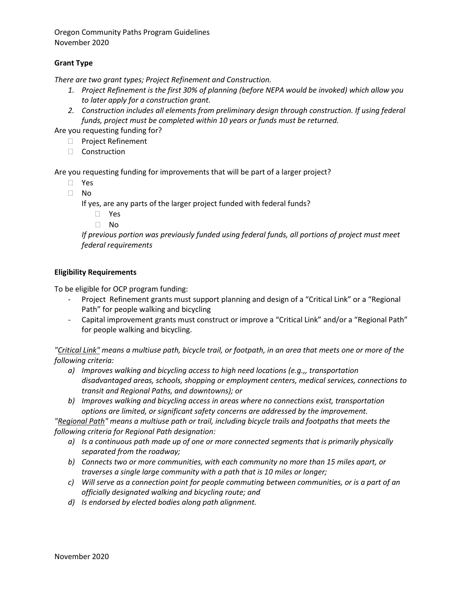#### **Grant Type**

*There are two grant types; Project Refinement and Construction.* 

- *1. Project Refinement is the first 30% of planning (before NEPA would be invoked) which allow you to later apply for a construction grant.*
- *2. Construction includes all elements from preliminary design through construction. If using federal funds, project must be completed within 10 years or funds must be returned.*

Are you requesting funding for?

- **Project Refinement**
- $\Box$  Construction

Are you requesting funding for improvements that will be part of a larger project?

- Yes
- $\Box$  No

If yes, are any parts of the larger project funded with federal funds?

- Yes
- No

*If previous portion was previously funded using federal funds, all portions of project must meet federal requirements*

#### **Eligibility Requirements**

To be eligible for OCP program funding:

- Project Refinement grants must support planning and design of a "Critical Link" or a "Regional Path" for people walking and bicycling
- Capital improvement grants must construct or improve a "Critical Link" and/or a "Regional Path" for people walking and bicycling.

*"Critical Link" means a multiuse path, bicycle trail, or footpath, in an area that meets one or more of the following criteria:*

- *a) Improves walking and bicycling access to high need locations (e.g.,, transportation disadvantaged areas, schools, shopping or employment centers, medical services, connections to transit and Regional Paths, and downtowns); or*
- *b) Improves walking and bicycling access in areas where no connections exist, transportation options are limited, or significant safety concerns are addressed by the improvement.*

*"Regional Path" means a multiuse path or trail, including bicycle trails and footpaths that meets the following criteria for Regional Path designation:*

- *a) Is a continuous path made up of one or more connected segments that is primarily physically separated from the roadway;*
- *b) Connects two or more communities, with each community no more than 15 miles apart, or traverses a single large community with a path that is 10 miles or longer;*
- *c) Will serve as a connection point for people commuting between communities, or is a part of an officially designated walking and bicycling route; and*
- *d) Is endorsed by elected bodies along path alignment.*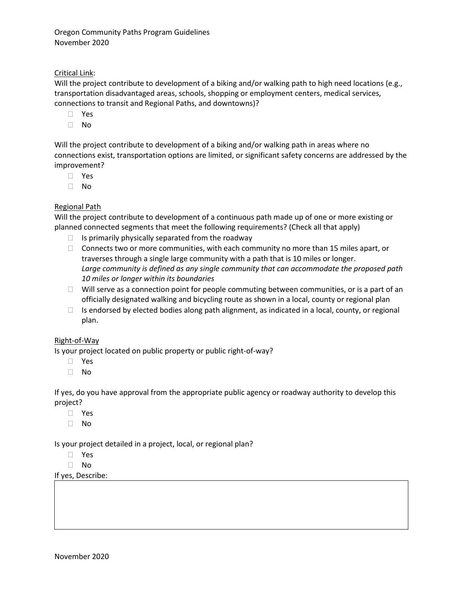#### Critical Link:

Will the project contribute to development of a biking and/or walking path to high need locations (e.g., transportation disadvantaged areas, schools, shopping or employment centers, medical services, connections to transit and Regional Paths, and downtowns)?

- Yes
- No

Will the project contribute to development of a biking and/or walking path in areas where no connections exist, transportation options are limited, or significant safety concerns are addressed by the improvement?

- Yes
- No

#### Regional Path

Will the project contribute to development of a continuous path made up of one or more existing or planned connected segments that meet the following requirements? (Check all that apply)

- $\Box$  Is primarily physically separated from the roadway
- $\Box$  Connects two or more communities, with each community no more than 15 miles apart, or traverses through a single large community with a path that is 10 miles or longer. *Large community is defined as any single community that can accommodate the proposed path 10 miles or longer within its boundaries*
- $\Box$  Will serve as a connection point for people commuting between communities, or is a part of an officially designated walking and bicycling route as shown in a local, county or regional plan
- $\Box$  Is endorsed by elected bodies along path alignment, as indicated in a local, county, or regional plan.

#### Right-of-Way

Is your project located on public property or public right-of-way?

- Yes
- $\Box$  No

If yes, do you have approval from the appropriate public agency or roadway authority to develop this project?

- Yes
- No

Is your project detailed in a project, local, or regional plan?

- Yes
- No

If yes, Describe: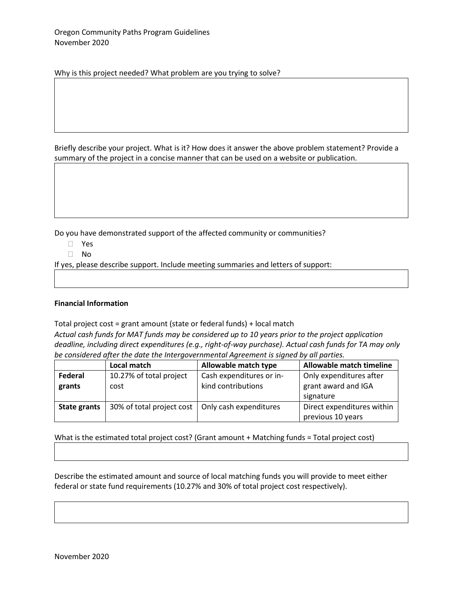Why is this project needed? What problem are you trying to solve?

Briefly describe your project. What is it? How does it answer the above problem statement? Provide a summary of the project in a concise manner that can be used on a website or publication.

Do you have demonstrated support of the affected community or communities?

- Yes
- No

If yes, please describe support. Include meeting summaries and letters of support:

#### **Financial Information**

Total project cost = grant amount (state or federal funds) + local match

*Actual cash funds for MAT funds may be considered up to 10 years prior to the project application deadline, including direct expenditures (e.g., right-of-way purchase). Actual cash funds for TA may only be considered after the date the Intergovernmental Agreement is signed by all parties.*

|                     | <b>Local match</b>        | Allowable match type     | Allowable match timeline                        |
|---------------------|---------------------------|--------------------------|-------------------------------------------------|
| Federal             | 10.27% of total project   | Cash expenditures or in- | Only expenditures after                         |
| grants              | cost                      | kind contributions       | grant award and IGA<br>signature                |
| <b>State grants</b> | 30% of total project cost | Only cash expenditures   | Direct expenditures within<br>previous 10 years |

What is the estimated total project cost? (Grant amount + Matching funds = Total project cost)

Describe the estimated amount and source of local matching funds you will provide to meet either federal or state fund requirements (10.27% and 30% of total project cost respectively).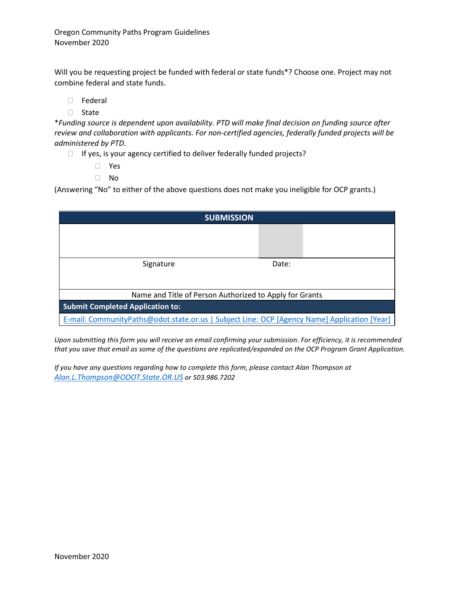Will you be requesting project be funded with federal or state funds\*? Choose one. Project may not combine federal and state funds.

- Federal
- $\Box$  State

\**Funding source is dependent upon availability. PTD will make final decision on funding source after review and collaboration with applicants. For non-certified agencies, federally funded projects will be administered by PTD.*

- $\Box$  If yes, is your agency certified to deliver federally funded projects?
	- Yes
	- No

(Answering "No" to either of the above questions does not make you ineligible for OCP grants.)

| <b>SUBMISSION</b>                                                                            |       |  |
|----------------------------------------------------------------------------------------------|-------|--|
|                                                                                              |       |  |
|                                                                                              |       |  |
| Signature                                                                                    | Date: |  |
|                                                                                              |       |  |
|                                                                                              |       |  |
| Name and Title of Person Authorized to Apply for Grants                                      |       |  |
| <b>Submit Completed Application to:</b>                                                      |       |  |
| E-mail: CommunityPaths@odot.state.or.us   Subject Line: OCP [Agency Name] Application [Year] |       |  |

*Upon submitting this form you will receive an email confirming your submission. For efficiency, it is recommended that you save that email as some of the questions are replicated/expanded on the OCP Program Grant Application.*

*If you have any questions regarding how to complete this form, please contact Alan Thompson at [Alan.L.Thompson@ODOT.State.OR.US](mailto:Alan.L.Thompson@ODOT.State.OR.US) or 503.986.7202*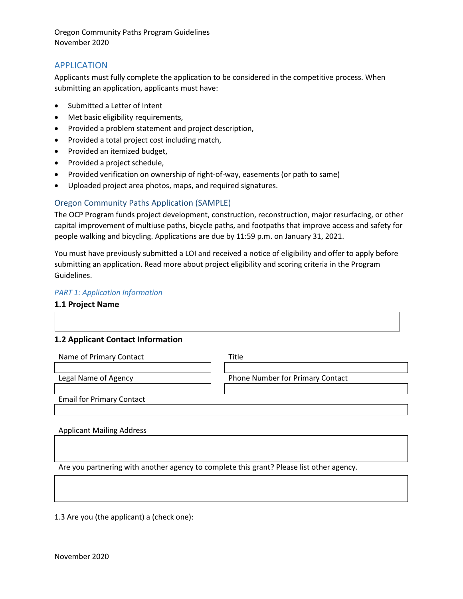#### <span id="page-17-0"></span>APPLICATION

Applicants must fully complete the application to be considered in the competitive process. When submitting an application, applicants must have:

- Submitted a Letter of Intent
- Met basic eligibility requirements,
- Provided a problem statement and project description,
- Provided a total project cost including match,
- Provided an itemized budget,
- Provided a project schedule,
- Provided verification on ownership of right-of-way, easements (or path to same)
- Uploaded project area photos, maps, and required signatures.

#### <span id="page-17-1"></span>Oregon Community Paths Application (SAMPLE)

The OCP Program funds project development, construction, reconstruction, major resurfacing, or other capital improvement of multiuse paths, bicycle paths, and footpaths that improve access and safety for people walking and bicycling. Applications are due by 11:59 p.m. on January 31, 2021.

You must have previously submitted a LOI and received a notice of eligibility and offer to apply before submitting an application. Read more about project eligibility and scoring criteria in the Program Guidelines.

#### *PART 1: Application Information*

#### **1.1 Project Name**

## **1.2 Applicant Contact Information**

| Name of Primary Contact          | Title                            |
|----------------------------------|----------------------------------|
| Legal Name of Agency             | Phone Number for Primary Contact |
| <b>Email for Primary Contact</b> |                                  |

#### Applicant Mailing Address

Are you partnering with another agency to complete this grant? Please list other agency.

1.3 Are you (the applicant) a (check one):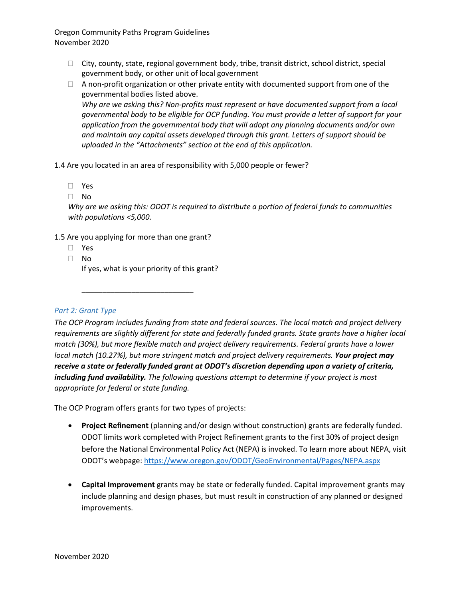- $\Box$  City, county, state, regional government body, tribe, transit district, school district, special government body, or other unit of local government
- $\Box$  A non-profit organization or other private entity with documented support from one of the governmental bodies listed above.

*Why are we asking this? Non-profits must represent or have documented support from a local governmental body to be eligible for OCP funding. You must provide a letter of support for your application from the governmental body that will adopt any planning documents and/or own and maintain any capital assets developed through this grant. Letters of support should be uploaded in the "Attachments" section at the end of this application.*

1.4 Are you located in an area of responsibility with 5,000 people or fewer?

- Yes
- No

*Why are we asking this: ODOT is required to distribute a portion of federal funds to communities with populations <5,000.* 

1.5 Are you applying for more than one grant?

\_\_\_\_\_\_\_\_\_\_\_\_\_\_\_\_\_\_\_\_\_\_\_\_\_\_\_

- Yes
- $\Box$  No

If yes, what is your priority of this grant?

*Part 2: Grant Type*

*The OCP Program includes funding from state and federal sources. The local match and project delivery requirements are slightly different for state and federally funded grants. State grants have a higher local match (30%), but more flexible match and project delivery requirements. Federal grants have a lower local match (10.27%), but more stringent match and project delivery requirements. Your project may receive a state or federally funded grant at ODOT's discretion depending upon a variety of criteria, including fund availability. The following questions attempt to determine if your project is most appropriate for federal or state funding.* 

The OCP Program offers grants for two types of projects:

- **Project Refinement** (planning and/or design without construction) grants are federally funded. ODOT limits work completed with Project Refinement grants to the first 30% of project design before the National Environmental Policy Act (NEPA) is invoked. To learn more about NEPA, visit ODOT's webpage: <https://www.oregon.gov/ODOT/GeoEnvironmental/Pages/NEPA.aspx>
- **Capital Improvement** grants may be state or federally funded. Capital improvement grants may include planning and design phases, but must result in construction of any planned or designed improvements.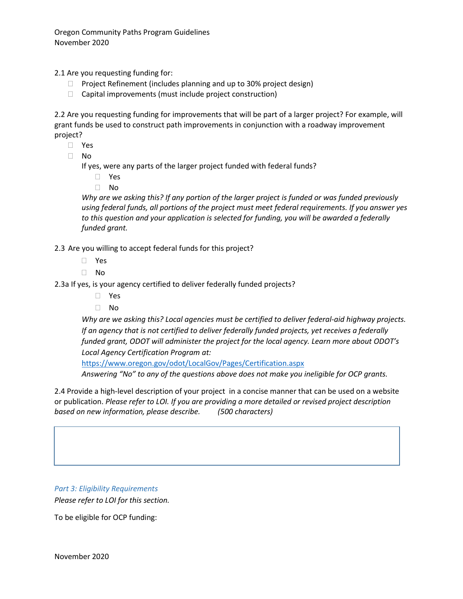2.1 Are you requesting funding for:

- $\Box$  Project Refinement (includes planning and up to 30% project design)
- $\Box$  Capital improvements (must include project construction)

2.2 Are you requesting funding for improvements that will be part of a larger project? For example, will grant funds be used to construct path improvements in conjunction with a roadway improvement project?

- Yes
- No

If yes, were any parts of the larger project funded with federal funds?

- Yes
- No

*Why are we asking this? If any portion of the larger project is funded or was funded previously using federal funds, all portions of the project must meet federal requirements. If you answer yes to this question and your application is selected for funding, you will be awarded a federally funded grant.*

2.3 Are you willing to accept federal funds for this project?

- Yes
- No

2.3a If yes, is your agency certified to deliver federally funded projects?

- Yes
- $\Box$  No

*Why are we asking this? Local agencies must be certified to deliver federal-aid highway projects. If an agency that is not certified to deliver federally funded projects, yet receives a federally funded grant, ODOT will administer the project for the local agency. Learn more about ODOT's Local Agency Certification Program at:* 

<https://www.oregon.gov/odot/LocalGov/Pages/Certification.aspx>

*Answering "No" to any of the questions above does not make you ineligible for OCP grants.*

2.4 Provide a high-level description of your project in a concise manner that can be used on a website or publication. *Please refer to LOI. If you are providing a more detailed or revised project description based on new information, please describe. (500 characters)*

*Part 3: Eligibility Requirements Please refer to LOI for this section.*

To be eligible for OCP funding: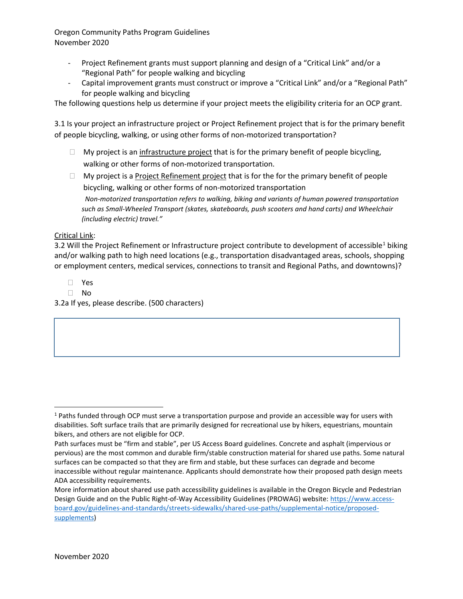- Project Refinement grants must support planning and design of a "Critical Link" and/or a "Regional Path" for people walking and bicycling
- Capital improvement grants must construct or improve a "Critical Link" and/or a "Regional Path" for people walking and bicycling

The following questions help us determine if your project meets the eligibility criteria for an OCP grant.

3.1 Is your project an infrastructure project or Project Refinement project that is for the primary benefit of people bicycling, walking, or using other forms of non-motorized transportation?

- $\Box$  My project is an infrastructure project that is for the primary benefit of people bicycling, walking or other forms of non-motorized transportation.
- $\Box$  My project is a Project Refinement project that is for the for the primary benefit of people bicycling, walking or other forms of non-motorized transportation *Non-motorized transportation refers to walking, biking and variants of human powered transportation such as Small-Wheeled Transport (skates, skateboards, push scooters and hand carts) and Wheelchair (including electric) travel."*

#### Critical Link:

3.2 Will the Project Refinement or Infrastructure project contribute to development of accessible<sup>[1](#page-20-0)</sup> biking and/or walking path to high need locations (e.g., transportation disadvantaged areas, schools, shopping or employment centers, medical services, connections to transit and Regional Paths, and downtowns)?

Yes

 $\Box$  No

3.2a If yes, please describe. (500 characters)

<span id="page-20-0"></span> <sup>1</sup> Paths funded through OCP must serve a transportation purpose and provide an accessible way for users with disabilities. Soft surface trails that are primarily designed for recreational use by hikers, equestrians, mountain bikers, and others are not eligible for OCP.

Path surfaces must be "firm and stable", per US Access Board guidelines. Concrete and asphalt (impervious or pervious) are the most common and durable firm/stable construction material for shared use paths. Some natural surfaces can be compacted so that they are firm and stable, but these surfaces can degrade and become inaccessible without regular maintenance. Applicants should demonstrate how their proposed path design meets ADA accessibility requirements.

More information about shared use path accessibility guidelines is available in the Oregon Bicycle and Pedestrian Design Guide and on the Public Right-of-Way Accessibility Guidelines (PROWAG) website: [https://www.access](https://www.access-board.gov/guidelines-and-standards/streets-sidewalks/shared-use-paths/supplemental-notice/proposed-supplements)[board.gov/guidelines-and-standards/streets-sidewalks/shared-use-paths/supplemental-notice/proposed](https://www.access-board.gov/guidelines-and-standards/streets-sidewalks/shared-use-paths/supplemental-notice/proposed-supplements)[supplements\)](https://www.access-board.gov/guidelines-and-standards/streets-sidewalks/shared-use-paths/supplemental-notice/proposed-supplements)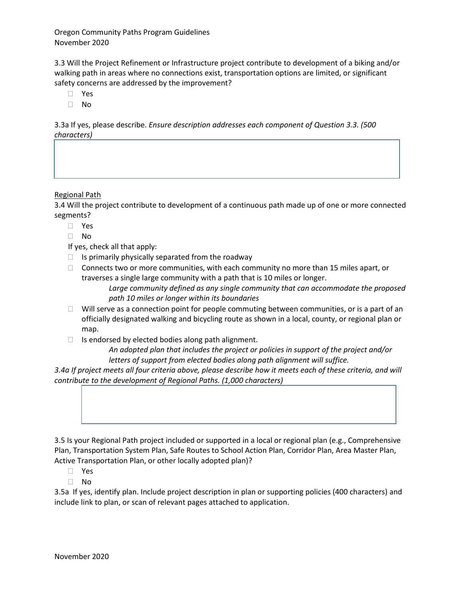3.3 Will the Project Refinement or Infrastructure project contribute to development of a biking and/or walking path in areas where no connections exist, transportation options are limited, or significant safety concerns are addressed by the improvement?

- Yes
- No

3.3a If yes, please describe. *Ensure description addresses each component of Question 3.3. (500 characters)*

#### Regional Path

3.4 Will the project contribute to development of a continuous path made up of one or more connected segments?

- Yes
- $\Box$  No
- If yes, check all that apply:
- $\Box$  Is primarily physically separated from the roadway
- $\Box$  Connects two or more communities, with each community no more than 15 miles apart, or traverses a single large community with a path that is 10 miles or longer.

*Large community defined as any single community that can accommodate the proposed path 10 miles or longer within its boundaries*

- $\Box$  Will serve as a connection point for people commuting between communities, or is a part of an officially designated walking and bicycling route as shown in a local, county, or regional plan or map.
- $\Box$  Is endorsed by elected bodies along path alignment.

*An adopted plan that includes the project or policies in support of the project and/or letters of support from elected bodies along path alignment will suffice.*

*3.4a If project meets all four criteria above, please describe how it meets each of these criteria, and will contribute to the development of Regional Paths. (1,000 characters)*



3.5 Is your Regional Path project included or supported in a local or regional plan (e.g., Comprehensive Plan, Transportation System Plan, Safe Routes to School Action Plan, Corridor Plan, Area Master Plan, Active Transportation Plan, or other locally adopted plan)?

Yes

No

3.5a If yes, identify plan. Include project description in plan or supporting policies (400 characters) and include link to plan, or scan of relevant pages attached to application.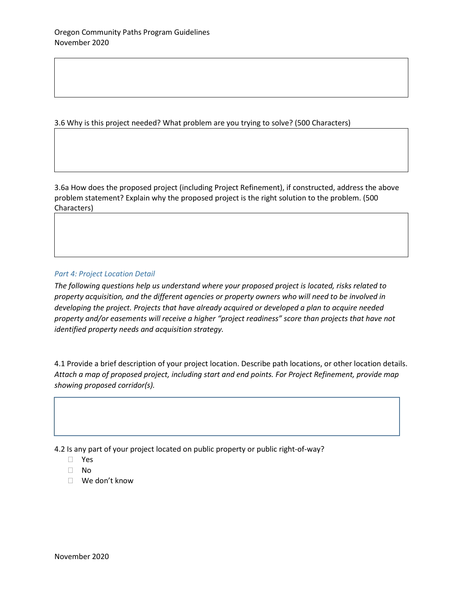3.6 Why is this project needed? What problem are you trying to solve? (500 Characters)

3.6a How does the proposed project (including Project Refinement), if constructed, address the above problem statement? Explain why the proposed project is the right solution to the problem. (500 Characters)

#### *Part 4: Project Location Detail*

*The following questions help us understand where your proposed project is located, risks related to property acquisition, and the different agencies or property owners who will need to be involved in developing the project. Projects that have already acquired or developed a plan to acquire needed property and/or easements will receive a higher "project readiness" score than projects that have not identified property needs and acquisition strategy.*

4.1 Provide a brief description of your project location. Describe path locations, or other location details. *Attach a map of proposed project, including start and end points. For Project Refinement, provide map showing proposed corridor(s).*

4.2 Is any part of your project located on public property or public right-of-way?

- No
- We don't know

Yes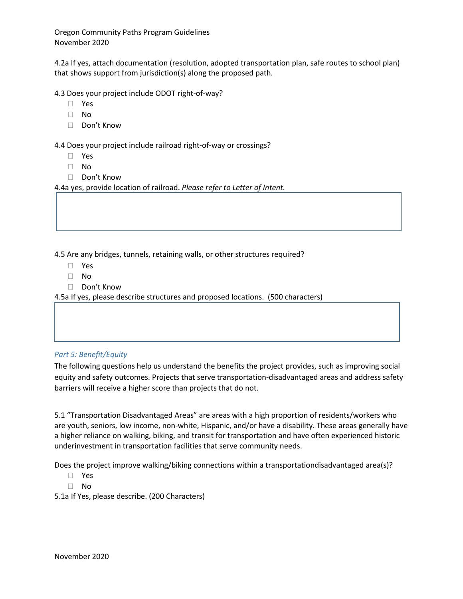4.2a If yes, attach documentation (resolution, adopted transportation plan, safe routes to school plan) that shows support from jurisdiction(s) along the proposed path*.* 

4.3 Does your project include ODOT right-of-way?

- Yes
- No
- □ Don't Know

4.4 Does your project include railroad right-of-way or crossings?

- Yes
- No
- □ Don't Know

4.4a yes, provide location of railroad. *Please refer to Letter of Intent.*

4.5 Are any bridges, tunnels, retaining walls, or other structures required?

- Yes
- No
- □ Don't Know

4.5a If yes, please describe structures and proposed locations. (500 characters)

#### *Part 5: Benefit/Equity*

The following questions help us understand the benefits the project provides, such as improving social equity and safety outcomes. Projects that serve transportation-disadvantaged areas and address safety barriers will receive a higher score than projects that do not.

5.1 "Transportation Disadvantaged Areas" are areas with a high proportion of residents/workers who are youth, seniors, low income, non-white, Hispanic, and/or have a disability. These areas generally have a higher reliance on walking, biking, and transit for transportation and have often experienced historic underinvestment in transportation facilities that serve community needs.

Does the project improve walking/biking connections within a transportationdisadvantaged area(s)?

- Yes
- No

5.1a If Yes, please describe. (200 Characters)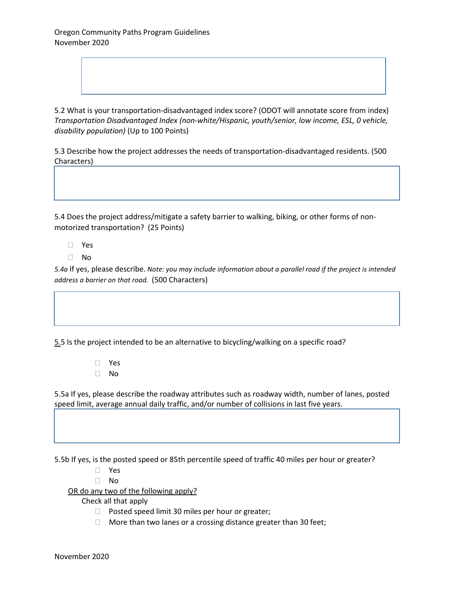5.2 What is your transportation-disadvantaged index score? (ODOT will annotate score from index) *Transportation Disadvantaged Index (non-white/Hispanic, youth/senior, low income, ESL, 0 vehicle, disability population)* (Up to 100 Points)

5.3 Describe how the project addresses the needs of transportation-disadvantaged residents. (500 Characters)

5.4 Does the project address/mitigate a safety barrier to walking, biking, or other forms of nonmotorized transportation? (25 Points)

- Yes
- $\Box$  No

*5.4a* If yes, please describe. *Note: you may include information about a parallel road if the project is intended address a barrier on that road.* (500 Characters)

5.5 Is the project intended to be an alternative to bicycling/walking on a specific road?

 Yes  $\Box$  No

5.5a If yes, please describe the roadway attributes such as roadway width, number of lanes, posted speed limit, average annual daily traffic, and/or number of collisions in last five years.

5.5b If yes, is the posted speed or 85th percentile speed of traffic 40 miles per hour or greater?

- Yes
- $\Box$  No

OR do any two of the following apply?

Check all that apply

- $\Box$  Posted speed limit 30 miles per hour or greater;
- $\Box$  More than two lanes or a crossing distance greater than 30 feet;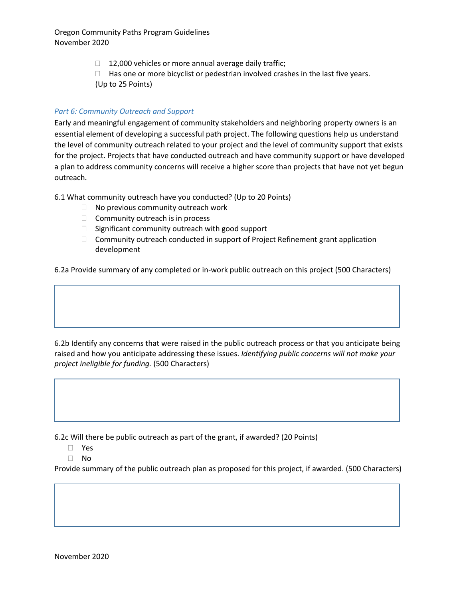- $\Box$  12,000 vehicles or more annual average daily traffic;
- $\Box$  Has one or more bicyclist or pedestrian involved crashes in the last five years.
- (Up to 25 Points)

#### *Part 6: Community Outreach and Support*

Early and meaningful engagement of community stakeholders and neighboring property owners is an essential element of developing a successful path project. The following questions help us understand the level of community outreach related to your project and the level of community support that exists for the project. Projects that have conducted outreach and have community support or have developed a plan to address community concerns will receive a higher score than projects that have not yet begun outreach.

6.1 What community outreach have you conducted? (Up to 20 Points)

- $\Box$  No previous community outreach work
- $\Box$  Community outreach is in process
- $\Box$  Significant community outreach with good support
- $\Box$  Community outreach conducted in support of Project Refinement grant application development

6.2a Provide summary of any completed or in-work public outreach on this project (500 Characters)

6.2b Identify any concerns that were raised in the public outreach process or that you anticipate being raised and how you anticipate addressing these issues. *Identifying public concerns will not make your project ineligible for funding.* (500 Characters)

6.2c Will there be public outreach as part of the grant, if awarded? (20 Points)

- Yes
- No

Provide summary of the public outreach plan as proposed for this project, if awarded. (500 Characters)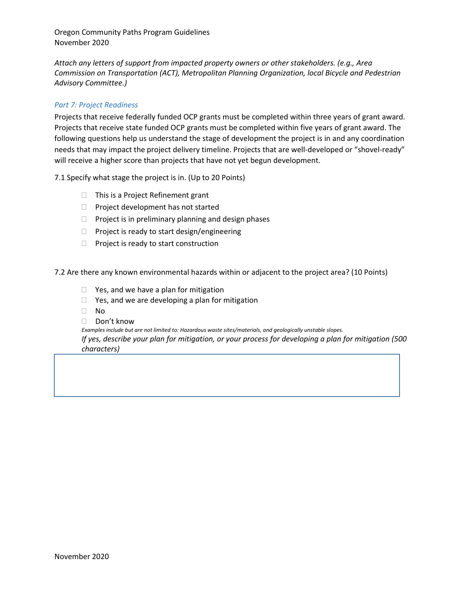*Attach any letters of support from impacted property owners or other stakeholders. (e.g., Area Commission on Transportation (ACT), Metropolitan Planning Organization, local Bicycle and Pedestrian Advisory Committee.)*

#### *Part 7: Project Readiness*

Projects that receive federally funded OCP grants must be completed within three years of grant award. Projects that receive state funded OCP grants must be completed within five years of grant award. The following questions help us understand the stage of development the project is in and any coordination needs that may impact the project delivery timeline. Projects that are well-developed or "shovel-ready" will receive a higher score than projects that have not yet begun development.

7.1 Specify what stage the project is in. (Up to 20 Points)

- $\Box$  This is a Project Refinement grant
- $\Box$  Project development has not started
- $\Box$  Project is in preliminary planning and design phases
- $\Box$  Project is ready to start design/engineering
- $\Box$  Project is ready to start construction

7.2 Are there any known environmental hazards within or adjacent to the project area? (10 Points)

- $\Box$  Yes, and we have a plan for mitigation
- $\Box$  Yes, and we are developing a plan for mitigation
- No
- Don't know

*Examples include but are not limited to: Hazardous waste sites/materials, and geologically unstable slopes. If yes, describe your plan for mitigation, or your process for developing a plan for mitigation (500 characters)*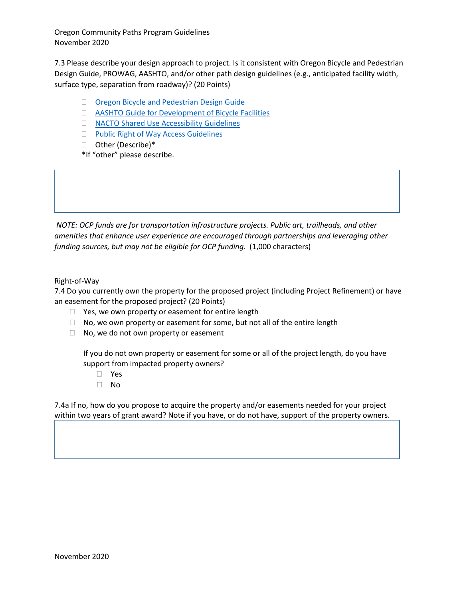7.3 Please describe your design approach to project. Is it consistent with Oregon Bicycle and Pedestrian Design Guide, PROWAG, AASHTO, and/or other path design guidelines (e.g., anticipated facility width, surface type, separation from roadway)? (20 Points)

- [Oregon Bicycle and Pedestrian Design Guide](https://www.oregon.gov/ODOT/Engineering/Documents_RoadwayEng/HDM_L-Bike-Ped-Guide.pdf)
- [AASHTO Guide for Development of Bicycle Facilities](https://tooledesign.com/project/update-to-the-aashto-guide-for-the-design-of-bicycle-facilities-2019/)
- □ [NACTO Shared Use Accessibility Guidelines](https://nacto.org/docs/usdg/designing_sidewalks_and_trails_access_kirschbaum.pdf)
- **[Public Right of Way Access Guidelines](https://www.access-board.gov/guidelines-and-standards/streets-sidewalks/public-rights-of-way)**
- □ Other (Describe)\*

\*If "other" please describe.

*NOTE: OCP funds are for transportation infrastructure projects. Public art, trailheads, and other amenities that enhance user experience are encouraged through partnerships and leveraging other*  funding sources, but may not be eligible for OCP funding. (1,000 characters)

#### Right-of-Way

7.4 Do you currently own the property for the proposed project (including Project Refinement) or have an easement for the proposed project? (20 Points)

- $\Box$  Yes, we own property or easement for entire length
- $\Box$  No, we own property or easement for some, but not all of the entire length
- $\Box$  No, we do not own property or easement

If you do not own property or easement for some or all of the project length, do you have support from impacted property owners?

- Yes
- No

7.4a If no, how do you propose to acquire the property and/or easements needed for your project within two years of grant award? Note if you have, or do not have, support of the property owners.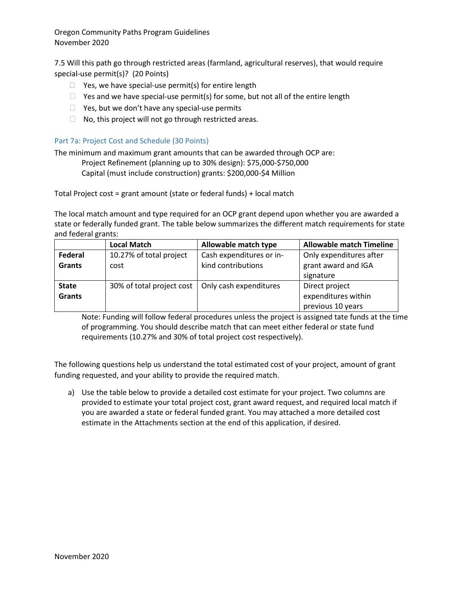7.5 Will this path go through restricted areas (farmland, agricultural reserves), that would require special-use permit(s)? (20 Points)

- $\Box$  Yes, we have special-use permit(s) for entire length
- $\Box$  Yes and we have special-use permit(s) for some, but not all of the entire length
- $\Box$  Yes, but we don't have any special-use permits
- $\Box$  No, this project will not go through restricted areas.

#### Part 7a: Project Cost and Schedule (30 Points)

The minimum and maximum grant amounts that can be awarded through OCP are:

Project Refinement (planning up to 30% design): \$75,000-\$750,000

Capital (must include construction) grants: \$200,000-\$4 Million

Total Project cost = grant amount (state or federal funds) + local match

The local match amount and type required for an OCP grant depend upon whether you are awarded a state or federally funded grant. The table below summarizes the different match requirements for state and federal grants:

|               | <b>Local Match</b>                                 | Allowable match type     | <b>Allowable match Timeline</b> |
|---------------|----------------------------------------------------|--------------------------|---------------------------------|
| Federal       | 10.27% of total project                            | Cash expenditures or in- | Only expenditures after         |
| <b>Grants</b> | cost                                               | kind contributions       | grant award and IGA             |
|               |                                                    |                          | signature                       |
| <b>State</b>  | 30% of total project cost   Only cash expenditures |                          | Direct project                  |
| <b>Grants</b> |                                                    |                          | expenditures within             |
|               |                                                    |                          | previous 10 years               |

Note: Funding will follow federal procedures unless the project is assigned tate funds at the time of programming. You should describe match that can meet either federal or state fund requirements (10.27% and 30% of total project cost respectively).

The following questions help us understand the total estimated cost of your project, amount of grant funding requested, and your ability to provide the required match.

a) Use the table below to provide a detailed cost estimate for your project. Two columns are provided to estimate your total project cost, grant award request, and required local match if you are awarded a state or federal funded grant. You may attached a more detailed cost estimate in the Attachments section at the end of this application, if desired.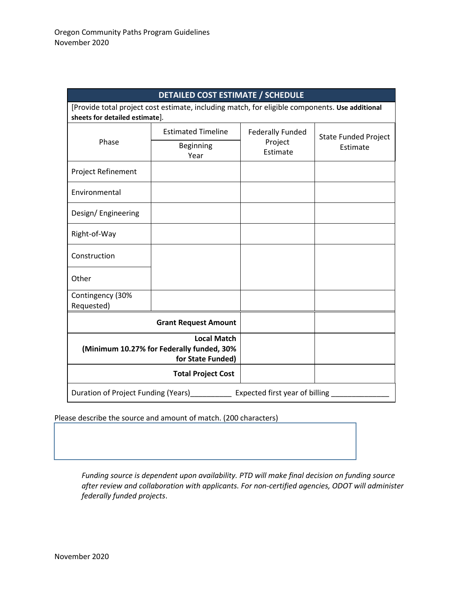| <b>DETAILED COST ESTIMATE / SCHEDULE</b>                              |                                                                                                |                                                |                                         |
|-----------------------------------------------------------------------|------------------------------------------------------------------------------------------------|------------------------------------------------|-----------------------------------------|
| sheets for detailed estimate].                                        | [Provide total project cost estimate, including match, for eligible components. Use additional |                                                |                                         |
| Phase                                                                 | <b>Estimated Timeline</b>                                                                      | <b>Federally Funded</b><br>Project<br>Estimate | <b>State Funded Project</b><br>Estimate |
|                                                                       | Beginning<br>Year                                                                              |                                                |                                         |
| Project Refinement                                                    |                                                                                                |                                                |                                         |
| Environmental                                                         |                                                                                                |                                                |                                         |
| Design/Engineering                                                    |                                                                                                |                                                |                                         |
| Right-of-Way                                                          |                                                                                                |                                                |                                         |
| Construction                                                          |                                                                                                |                                                |                                         |
| Other                                                                 |                                                                                                |                                                |                                         |
| Contingency (30%<br>Requested)                                        |                                                                                                |                                                |                                         |
| <b>Grant Request Amount</b>                                           |                                                                                                |                                                |                                         |
|                                                                       | <b>Local Match</b><br>(Minimum 10.27% for Federally funded, 30%<br>for State Funded)           |                                                |                                         |
| <b>Total Project Cost</b>                                             |                                                                                                |                                                |                                         |
| Duration of Project Funding (Years)<br>Expected first year of billing |                                                                                                |                                                |                                         |

Please describe the source and amount of match. (200 characters)

*Funding source is dependent upon availability. PTD will make final decision on funding source after review and collaboration with applicants. For non-certified agencies, ODOT will administer federally funded projects*.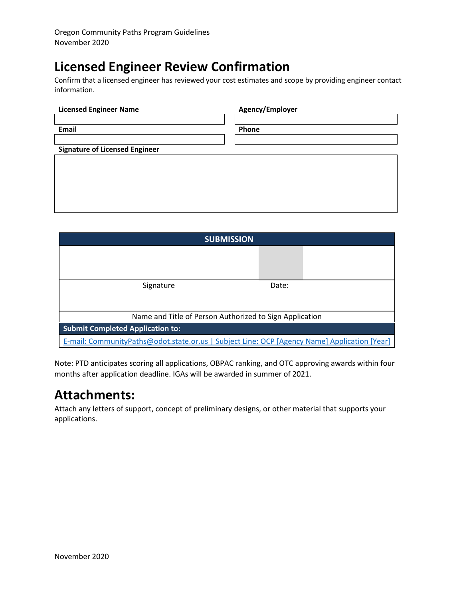# **Licensed Engineer Review Confirmation**

Confirm that a licensed engineer has reviewed your cost estimates and scope by providing engineer contact information.

| <b>Licensed Engineer Name</b>         | Agency/Employer |
|---------------------------------------|-----------------|
|                                       |                 |
| <b>Email</b>                          | Phone           |
|                                       |                 |
| <b>Signature of Licensed Engineer</b> |                 |
|                                       |                 |
|                                       |                 |
|                                       |                 |
|                                       |                 |
|                                       |                 |

| <b>SUBMISSION</b>                                                                            |       |  |
|----------------------------------------------------------------------------------------------|-------|--|
|                                                                                              |       |  |
|                                                                                              |       |  |
| Signature                                                                                    | Date: |  |
|                                                                                              |       |  |
| Name and Title of Person Authorized to Sign Application                                      |       |  |
| <b>Submit Completed Application to:</b>                                                      |       |  |
| E-mail: CommunityPaths@odot.state.or.us   Subject Line: OCP [Agency Name] Application [Year] |       |  |

Note: PTD anticipates scoring all applications, OBPAC ranking, and OTC approving awards within four months after application deadline. IGAs will be awarded in summer of 2021.

# **Attachments:**

Attach any letters of support, concept of preliminary designs, or other material that supports your applications.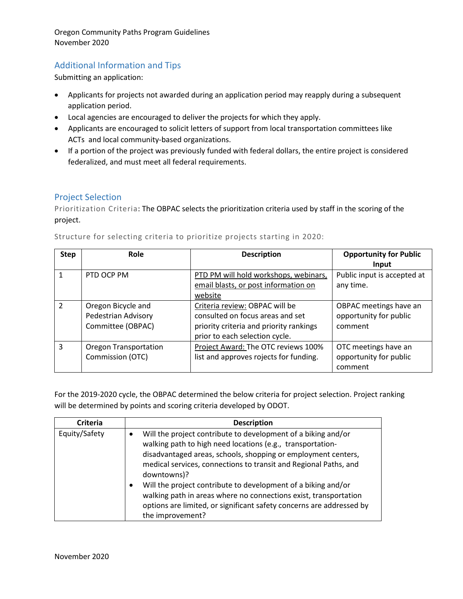## <span id="page-31-0"></span>Additional Information and Tips

Submitting an application:

- Applicants for projects not awarded during an application period may reapply during a subsequent application period.
- Local agencies are encouraged to deliver the projects for which they apply.
- Applicants are encouraged to solicit letters of support from local transportation committees like ACTs and local community-based organizations.
- If a portion of the project was previously funded with federal dollars, the entire project is considered federalized, and must meet all federal requirements.

## <span id="page-31-1"></span>Project Selection

Prioritization Criteria: The OBPAC selects the prioritization criteria used by staff in the scoring of the project.

| <b>Step</b>   | Role                         | <b>Description</b>                      | <b>Opportunity for Public</b> |
|---------------|------------------------------|-----------------------------------------|-------------------------------|
|               |                              |                                         | Input                         |
| 1             | PTD OCP PM                   | PTD PM will hold workshops, webinars,   | Public input is accepted at   |
|               |                              | email blasts, or post information on    | any time.                     |
|               |                              | website                                 |                               |
| $\mathcal{P}$ | Oregon Bicycle and           | Criteria review: OBPAC will be          | OBPAC meetings have an        |
|               | Pedestrian Advisory          | consulted on focus areas and set        | opportunity for public        |
|               | Committee (OBPAC)            | priority criteria and priority rankings | comment                       |
|               |                              | prior to each selection cycle.          |                               |
| 3             | <b>Oregon Transportation</b> | Project Award: The OTC reviews 100%     | OTC meetings have an          |
|               | Commission (OTC)             | list and approves rojects for funding.  | opportunity for public        |
|               |                              |                                         | comment                       |

Structure for selecting criteria to prioritize projects starting in 2020:

For the 2019-2020 cycle, the OBPAC determined the below criteria for project selection. Project ranking will be determined by points and scoring criteria developed by ODOT.

| <b>Criteria</b> | <b>Description</b>                                                                                                                                                                                                                                                                                                                                                                                                                                                                                                            |
|-----------------|-------------------------------------------------------------------------------------------------------------------------------------------------------------------------------------------------------------------------------------------------------------------------------------------------------------------------------------------------------------------------------------------------------------------------------------------------------------------------------------------------------------------------------|
| Equity/Safety   | Will the project contribute to development of a biking and/or<br>walking path to high need locations (e.g., transportation-<br>disadvantaged areas, schools, shopping or employment centers,<br>medical services, connections to transit and Regional Paths, and<br>downtowns)?<br>Will the project contribute to development of a biking and/or<br>$\bullet$<br>walking path in areas where no connections exist, transportation<br>options are limited, or significant safety concerns are addressed by<br>the improvement? |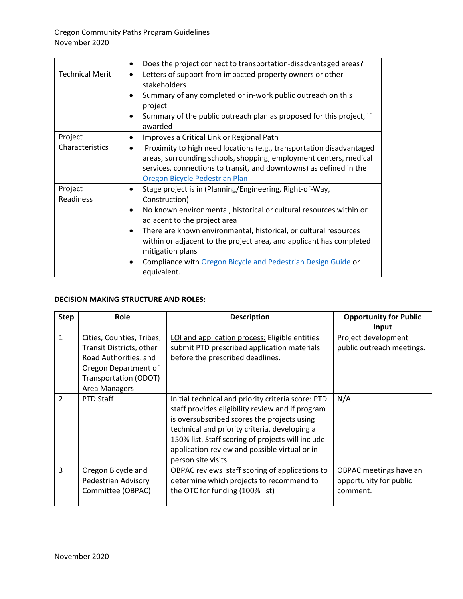|                        | Does the project connect to transportation-disadvantaged areas?<br>$\bullet$                                                                                     |  |
|------------------------|------------------------------------------------------------------------------------------------------------------------------------------------------------------|--|
| <b>Technical Merit</b> | Letters of support from impacted property owners or other<br>$\bullet$<br>stakeholders                                                                           |  |
|                        | Summary of any completed or in-work public outreach on this<br>project                                                                                           |  |
|                        | Summary of the public outreach plan as proposed for this project, if<br>٠<br>awarded                                                                             |  |
| Project                | Improves a Critical Link or Regional Path<br>٠                                                                                                                   |  |
| Characteristics        | Proximity to high need locations (e.g., transportation disadvantaged<br>$\bullet$<br>areas, surrounding schools, shopping, employment centers, medical           |  |
|                        | services, connections to transit, and downtowns) as defined in the                                                                                               |  |
|                        | Oregon Bicycle Pedestrian Plan                                                                                                                                   |  |
| Project                | Stage project is in (Planning/Engineering, Right-of-Way,<br>٠                                                                                                    |  |
| Readiness              | Construction)                                                                                                                                                    |  |
|                        | No known environmental, historical or cultural resources within or<br>$\bullet$<br>adjacent to the project area                                                  |  |
|                        | There are known environmental, historical, or cultural resources<br>٠<br>within or adjacent to the project area, and applicant has completed<br>mitigation plans |  |
|                        | Compliance with Oregon Bicycle and Pedestrian Design Guide or<br>$\bullet$<br>equivalent.                                                                        |  |

## **DECISION MAKING STRUCTURE AND ROLES:**

| <b>Step</b>   | Role                                                                                                                                             | <b>Description</b>                                                                                                                                                                                                                                                                                                                   | <b>Opportunity for Public</b><br>Input                       |
|---------------|--------------------------------------------------------------------------------------------------------------------------------------------------|--------------------------------------------------------------------------------------------------------------------------------------------------------------------------------------------------------------------------------------------------------------------------------------------------------------------------------------|--------------------------------------------------------------|
| $\mathbf{1}$  | Cities, Counties, Tribes,<br>Transit Districts, other<br>Road Authorities, and<br>Oregon Department of<br>Transportation (ODOT)<br>Area Managers | LOI and application process: Eligible entities<br>submit PTD prescribed application materials<br>before the prescribed deadlines.                                                                                                                                                                                                    | Project development<br>public outreach meetings.             |
| $\mathcal{P}$ | <b>PTD Staff</b>                                                                                                                                 | Initial technical and priority criteria score: PTD<br>staff provides eligibility review and if program<br>is oversubscribed scores the projects using<br>technical and priority criteria, developing a<br>150% list. Staff scoring of projects will include<br>application review and possible virtual or in-<br>person site visits. | N/A                                                          |
| 3             | Oregon Bicycle and<br>Pedestrian Advisory<br>Committee (OBPAC)                                                                                   | OBPAC reviews staff scoring of applications to<br>determine which projects to recommend to<br>the OTC for funding (100% list)                                                                                                                                                                                                        | OBPAC meetings have an<br>opportunity for public<br>comment. |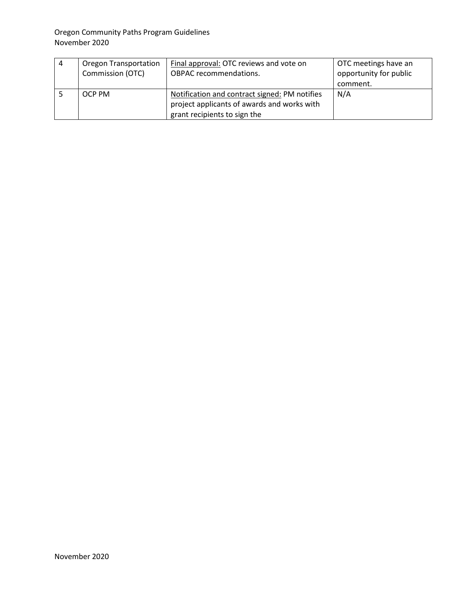| 4 | <b>Oregon Transportation</b><br>Commission (OTC) | Final approval: OTC reviews and vote on<br><b>OBPAC</b> recommendations.                                                     | OTC meetings have an<br>opportunity for public<br>comment. |
|---|--------------------------------------------------|------------------------------------------------------------------------------------------------------------------------------|------------------------------------------------------------|
|   | OCP PM                                           | Notification and contract signed: PM notifies<br>project applicants of awards and works with<br>grant recipients to sign the | N/A                                                        |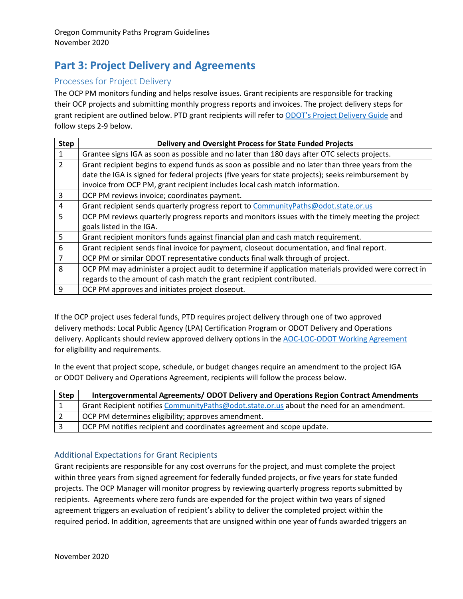## <span id="page-34-0"></span>**Part 3: Project Delivery and Agreements**

## <span id="page-34-1"></span>Processes for Project Delivery

The OCP PM monitors funding and helps resolve issues. Grant recipients are responsible for tracking their OCP projects and submitting monthly progress reports and invoices. The project delivery steps for grant recipient are outlined below. PTD grant recipients will refer t[o ODOT's Project Delivery Guide](https://www.oregon.gov/odot/ProjectDel/Pages/Project-Delivery-Guide.aspx) and follow steps 2-9 below.

| <b>Step</b>    | <b>Delivery and Oversight Process for State Funded Projects</b>                                      |
|----------------|------------------------------------------------------------------------------------------------------|
| 1              | Grantee signs IGA as soon as possible and no later than 180 days after OTC selects projects.         |
| $\overline{2}$ | Grant recipient begins to expend funds as soon as possible and no later than three years from the    |
|                | date the IGA is signed for federal projects (five years for state projects); seeks reimbursement by  |
|                | invoice from OCP PM, grant recipient includes local cash match information.                          |
| 3              | OCP PM reviews invoice; coordinates payment.                                                         |
| 4              | Grant recipient sends quarterly progress report to CommunityPaths@odot.state.or.us                   |
| 5              | OCP PM reviews quarterly progress reports and monitors issues with the timely meeting the project    |
|                | goals listed in the IGA.                                                                             |
| 5              | Grant recipient monitors funds against financial plan and cash match requirement.                    |
| 6              | Grant recipient sends final invoice for payment, closeout documentation, and final report.           |
| 7              | OCP PM or similar ODOT representative conducts final walk through of project.                        |
| 8              | OCP PM may administer a project audit to determine if application materials provided were correct in |
|                | regards to the amount of cash match the grant recipient contributed.                                 |
| 9              | OCP PM approves and initiates project closeout.                                                      |

If the OCP project uses federal funds, PTD requires project delivery through one of two approved delivery methods: Local Public Agency (LPA) Certification Program or ODOT Delivery and Operations delivery. Applicants should review approved delivery options in th[e AOC-LOC-ODOT Working Agreement](https://www.oregon.gov/odot/LocalGov/Documents/ODOT-AOC-LOC-Agreement-32588.pdf) for eligibility and requirements.

In the event that project scope, schedule, or budget changes require an amendment to the project IGA or ODOT Delivery and Operations Agreement, recipients will follow the process below.

| <b>Step</b> | Intergovernmental Agreements/ODOT Delivery and Operations Region Contract Amendments      |
|-------------|-------------------------------------------------------------------------------------------|
|             | Grant Recipient notifies CommunityPaths@odot.state.or.us about the need for an amendment. |
|             | OCP PM determines eligibility; approves amendment.                                        |
|             | OCP PM notifies recipient and coordinates agreement and scope update.                     |

## <span id="page-34-2"></span>Additional Expectations for Grant Recipients

Grant recipients are responsible for any cost overruns for the project, and must complete the project within three years from signed agreement for federally funded projects, or five years for state funded projects. The OCP Manager will monitor progress by reviewing quarterly progress reports submitted by recipients. Agreements where zero funds are expended for the project within two years of signed agreement triggers an evaluation of recipient's ability to deliver the completed project within the required period. In addition, agreements that are unsigned within one year of funds awarded triggers an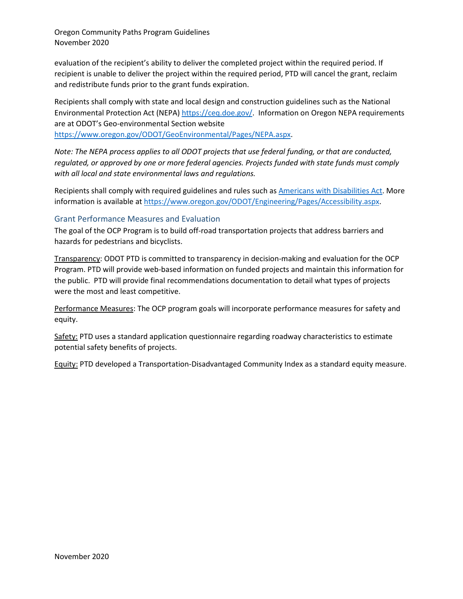evaluation of the recipient's ability to deliver the completed project within the required period. If recipient is unable to deliver the project within the required period, PTD will cancel the grant, reclaim and redistribute funds prior to the grant funds expiration.

Recipients shall comply with state and local design and construction guidelines such as the National Environmental Protection Act (NEPA) [https://ceq.doe.gov/.](https://ceq.doe.gov/) Information on Oregon NEPA requirements are at ODOT's Geo-environmental Section website

[https://www.oregon.gov/ODOT/GeoEnvironmental/Pages/NEPA.aspx.](https://www.oregon.gov/ODOT/GeoEnvironmental/Pages/NEPA.aspx)

*Note: The NEPA process applies to all ODOT projects that use federal funding, or that are conducted, regulated, or approved by one or more federal agencies. Projects funded with state funds must comply with all local and state environmental laws and regulations.*

Recipients shall comply with required guidelines and rules such a[s Americans with Disabilities Act.](https://www.ada.gov/) More information is available a[t https://www.oregon.gov/ODOT/Engineering/Pages/Accessibility.aspx.](https://www.oregon.gov/ODOT/Engineering/Pages/Accessibility.aspx)

#### <span id="page-35-0"></span>Grant Performance Measures and Evaluation

The goal of the OCP Program is to build off-road transportation projects that address barriers and hazards for pedestrians and bicyclists.

Transparency: ODOT PTD is committed to transparency in decision-making and evaluation for the OCP Program. PTD will provide web-based information on funded projects and maintain this information for the public. PTD will provide final recommendations documentation to detail what types of projects were the most and least competitive.

Performance Measures: The OCP program goals will incorporate performance measures for safety and equity.

Safety: PTD uses a standard application questionnaire regarding roadway characteristics to estimate potential safety benefits of projects.

Equity: PTD developed a Transportation-Disadvantaged Community Index as a standard equity measure.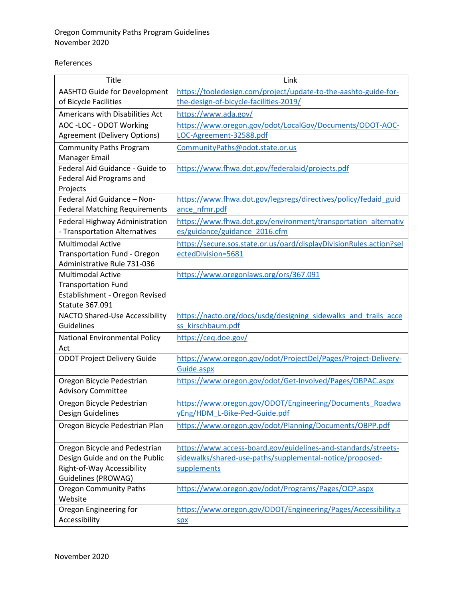#### References

| Title                                                               | Link                                                                                            |
|---------------------------------------------------------------------|-------------------------------------------------------------------------------------------------|
| <b>AASHTO Guide for Development</b>                                 | https://tooledesign.com/project/update-to-the-aashto-guide-for-                                 |
| of Bicycle Facilities                                               | the-design-of-bicycle-facilities-2019/                                                          |
| Americans with Disabilities Act                                     | https://www.ada.gov/                                                                            |
| AOC - LOC - ODOT Working                                            | https://www.oregon.gov/odot/LocalGov/Documents/ODOT-AOC-                                        |
| <b>Agreement (Delivery Options)</b>                                 | LOC-Agreement-32588.pdf                                                                         |
| <b>Community Paths Program</b>                                      | CommunityPaths@odot.state.or.us                                                                 |
| Manager Email                                                       |                                                                                                 |
| Federal Aid Guidance - Guide to                                     | https://www.fhwa.dot.gov/federalaid/projects.pdf                                                |
| Federal Aid Programs and                                            |                                                                                                 |
| Projects                                                            |                                                                                                 |
| Federal Aid Guidance - Non-<br><b>Federal Matching Requirements</b> | https://www.fhwa.dot.gov/legsregs/directives/policy/fedaid guid<br>ance nfmr.pdf                |
|                                                                     |                                                                                                 |
| Federal Highway Administration<br>- Transportation Alternatives     | https://www.fhwa.dot.gov/environment/transportation_alternativ<br>es/guidance/guidance 2016.cfm |
|                                                                     |                                                                                                 |
| <b>Multimodal Active</b><br><b>Transportation Fund - Oregon</b>     | https://secure.sos.state.or.us/oard/displayDivisionRules.action?sel<br>ectedDivision=5681       |
| Administrative Rule 731-036                                         |                                                                                                 |
| <b>Multimodal Active</b>                                            | https://www.oregonlaws.org/ors/367.091                                                          |
| <b>Transportation Fund</b>                                          |                                                                                                 |
| Establishment - Oregon Revised                                      |                                                                                                 |
| <b>Statute 367.091</b>                                              |                                                                                                 |
| NACTO Shared-Use Accessibility                                      | https://nacto.org/docs/usdg/designing sidewalks and trails acce                                 |
| Guidelines                                                          | ss kirschbaum.pdf                                                                               |
| <b>National Environmental Policy</b>                                | https://ceq.doe.gov/                                                                            |
| Act                                                                 |                                                                                                 |
| <b>ODOT Project Delivery Guide</b>                                  | https://www.oregon.gov/odot/ProjectDel/Pages/Project-Delivery-                                  |
|                                                                     | Guide.aspx                                                                                      |
| Oregon Bicycle Pedestrian                                           | https://www.oregon.gov/odot/Get-Involved/Pages/OBPAC.aspx                                       |
| <b>Advisory Committee</b>                                           |                                                                                                 |
| Oregon Bicycle Pedestrian                                           | https://www.oregon.gov/ODOT/Engineering/Documents Roadwa                                        |
| Design Guidelines                                                   | yEng/HDM_L-Bike-Ped-Guide.pdf                                                                   |
| Oregon Bicycle Pedestrian Plan                                      | https://www.oregon.gov/odot/Planning/Documents/OBPP.pdf                                         |
|                                                                     |                                                                                                 |
| Oregon Bicycle and Pedestrian                                       | https://www.access-board.gov/guidelines-and-standards/streets-                                  |
| Design Guide and on the Public                                      | sidewalks/shared-use-paths/supplemental-notice/proposed-                                        |
| Right-of-Way Accessibility                                          | supplements                                                                                     |
| Guidelines (PROWAG)<br><b>Oregon Community Paths</b>                | https://www.oregon.gov/odot/Programs/Pages/OCP.aspx                                             |
| Website                                                             |                                                                                                 |
| Oregon Engineering for                                              | https://www.oregon.gov/ODOT/Engineering/Pages/Accessibility.a                                   |
| Accessibility                                                       | <b>Spx</b>                                                                                      |
|                                                                     |                                                                                                 |